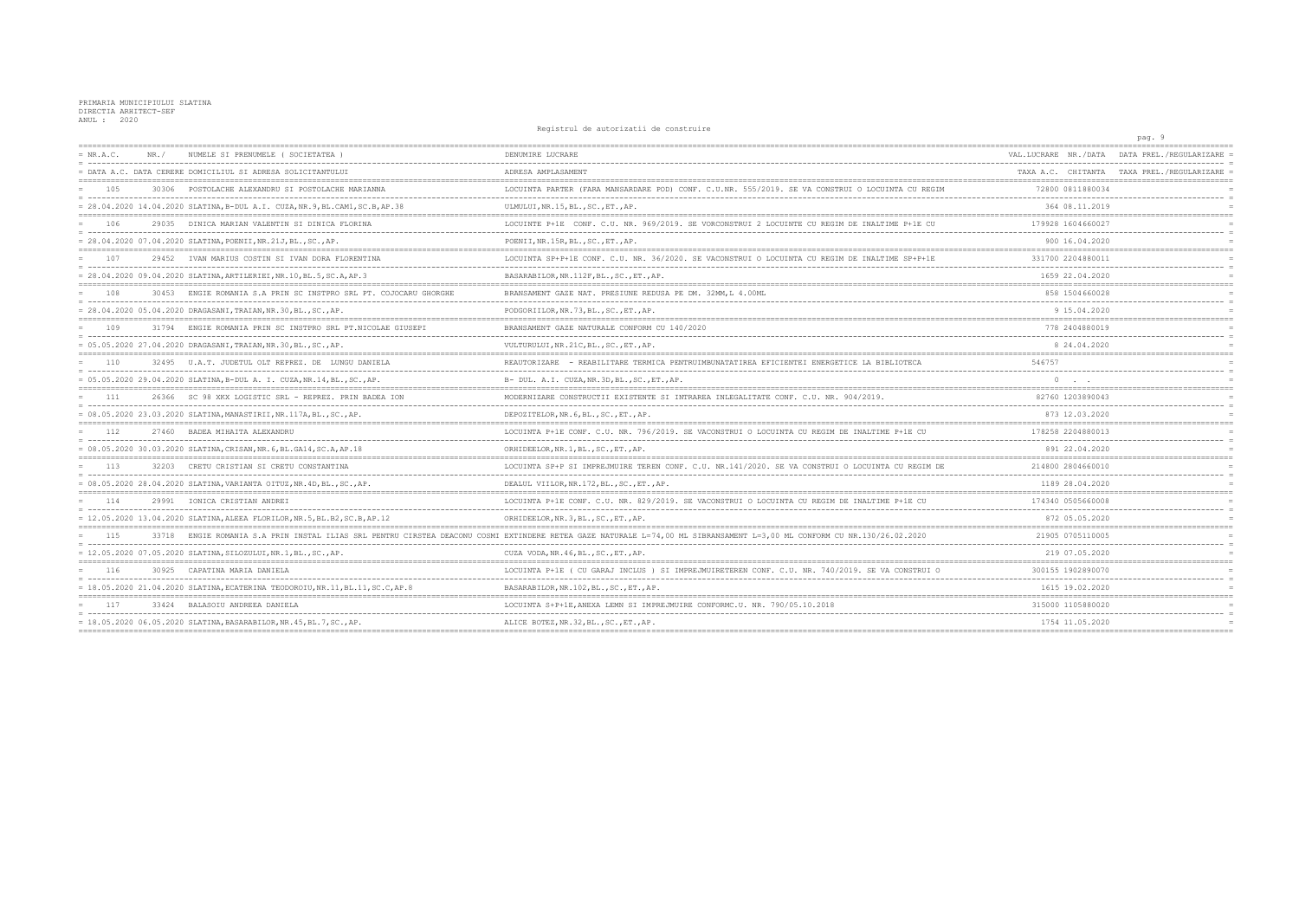PRIMARIA MUNICIPIULUI SLATINA<br>DIRECTIA ARHITECT-SEF<br>ANUL : 2020

## Registrul de autorizatii de construire

|             |                                                                                |                                                                                                                                                                         |                                          | pay. J                                       |
|-------------|--------------------------------------------------------------------------------|-------------------------------------------------------------------------------------------------------------------------------------------------------------------------|------------------------------------------|----------------------------------------------|
| $= NR.A.C.$ | NUMELE SI PRENUMELE ( SOCIETATEA<br>NR. /                                      | DENUMIRE LUCRARE                                                                                                                                                        | VAL.LUCRARE NR./DATA                     | DATA PREL./REGULARIZARE                      |
|             | = DATA A.C. DATA CERERE DOMICILIUL SI ADRESA SOLICITANTULUI                    | ADRESA AMPLASAMENT                                                                                                                                                      |                                          | TAXA A.C. CHITANTA TAXA PREL. / REGULARIZARE |
| 105         | 30306 POSTOLACHE ALEXANDRU SI POSTOLACHE MARIANNA                              | LOCUINTA PARTER (FARA MANSARDARE POD) CONF. C.U.NR. 555/2019. SE VA CONSTRUI O LOCUINTA CU REGIM                                                                        | 72800 0811880034                         |                                              |
|             | = 28.04.2020 14.04.2020 SLATINA, B-DUL A.I. CUZA, NR.9, BL.CAM1, SC.B, AP.38   | ULMULUI, NR.15, BL., SC., ET., AP.                                                                                                                                      | 364 08.11.2019                           |                                              |
| 106         | 29035 DINICA MARIAN VALENTIN SI DINICA FLORINA                                 | LOCUINTE P+1E CONF. C.U. NR. 969/2019. SE VORCONSTRUI 2 LOCUINTE CU REGIM DE INALTIME P+1E CU                                                                           | 179928 1604660027                        |                                              |
|             | = 28.04.2020 07.04.2020 SLATINA, POENII, NR.21J, BL., SC., AP.                 | POENII, NR.15R, BL., SC., ET., AP.                                                                                                                                      | 900 16.04.2020                           |                                              |
| 107         | 29452 IVAN MARIUS COSTIN SI IVAN DORA FLORENTINA                               | LOCUINTA SP+P+1E CONF. C.U. NR. 36/2020. SE VACONSTRUI O LOCUINTA CU REGIM DE INALTIME SP+P+1E                                                                          | 331700 2204880011                        |                                              |
|             | = 28.04.2020 09.04.2020 SLATINA, ARTILERIEI, NR.10, BL.5, SC.A, AP.3           | BASARABILOR, NR.112F, BL., SC., ET., AP.                                                                                                                                | 1659 22.04.2020                          |                                              |
| 108         | 30453 ENGIE ROMANIA S.A PRIN SC INSTPRO SRL PT. COJOCARU GHORGHE               | BRANSAMENT GAZE NAT. PRESIUNE REDUSA PE DM. 32MM, L 4.00ML                                                                                                              | 858 1504 660028                          |                                              |
|             | = 28.04.2020 05.04.2020 DRAGASANI, TRAIAN, NR.30, BL., SC., AP.                | PODGORIILOR, NR. 73, BL., SC., ET., AP.                                                                                                                                 | 9 15.04.2020                             |                                              |
| 109         | 31794 ENGIE ROMANIA PRIN SC INSTPRO SRL PT.NICOLAE GIUSEPI                     | BRANSAMENT GAZE NATURALE CONFORM CU 140/2020                                                                                                                            | 778 2404880019                           |                                              |
|             | = 05.05.2020 27.04.2020 DRAGASANI, TRAIAN, NR.30, BL., SC., AP.                | VULTURULUI, NR. 21C, BL., SC., ET., AP.                                                                                                                                 | 8 24.04.2020                             |                                              |
| 110         | 32495 U.A.T. JUDETUL OLT REPREZ. DE LUNGU DANIELA                              | REAUTORIZARE - REABILITARE TERMICA PENTRUIMBUNATATIREA EFICIENTEI ENERGETICE LA BIBLIOTECA                                                                              | 546757                                   |                                              |
|             | = 05.05.2020 29.04.2020 SLATINA, B-DUL A. I. CUZA, NR.14, BL., SC., AP.        | B- DUL. A.I. CUZA, NR. 3D, BL., SC., ET., AP.                                                                                                                           |                                          |                                              |
| - 111       | 26366 SC 98 XKX LOGISTIC SRL - REPREZ. PRIN BADEA ION                          | MODERNIZARE CONSTRUCTII EXISTENTE SI INTRAREA INLEGALITATE CONF. C.U. NR. 904/2019.                                                                                     | 82760 1203890043                         |                                              |
|             | = 08.05.2020 23.03.2020 SLATINA, MANASTIRII, NR.117A, BL., SC., AP.            | DEPOZITELOR, NR. 6, BL., SC., ET., AP.                                                                                                                                  | 873 12.03.2020                           |                                              |
| 112         | 27460 BADEA MIHAITA ALEXANDRU                                                  | LOCUINTA P+1E CONF. C.U. NR. 796/2019. SE VACONSTRUI O LOCUINTA CU REGIM DE INALTIME P+1E CU                                                                            | 178258 2204880013                        |                                              |
|             | = 08.05.2020 30.03.2020 SLATINA, CRISAN, NR. 6, BL. GA14, SC. A, AP. 18        | ORHIDEELOR, NR.1, BL., SC., ET., AP.                                                                                                                                    | 891 22.04.2020                           |                                              |
| 113         | 32203 CRETU CRISTIAN SI CRETU CONSTANTINA                                      | LOCUINTA SP+P SI IMPREJMUIRE TEREN CONF. C.U. NR.141/2020. SE VA CONSTRUI O LOCUINTA CU REGIM DE                                                                        | 214800 2804660010                        |                                              |
|             | = 08.05.2020 28.04.2020 SLATINA, VARIANTA OITUZ, NR.4D, BL., SC., AP.          | DEALUL VIILOR, NR. 172, BL., SC., ET., AP.                                                                                                                              | ---------------------<br>1189 28.04.2020 |                                              |
| 114         | 29991 IONICA CRISTIAN ANDREI                                                   | LOCUINTA P+1E CONF. C.U. NR. 829/2019. SE VACONSTRUI O LOCUINTA CU REGIM DE INALTIME P+1E CU                                                                            | 174340 0505660008                        |                                              |
|             | = 12.05.2020 13.04.2020 SLATINA, ALEEA FLORILOR, NR.5, BL.B2, SC.B, AP.12      | ORHIDEELOR, NR. 3, BL., SC., ET., AP.                                                                                                                                   | 872 05.05.2020                           |                                              |
| 115         |                                                                                | 33718 ENGIE ROMANIA S.A PRIN INSTAL ILIAS SRL PENTRU CIRSTEA DEACONU COSMI EXTINDERE RETEA GAZE NATURALE L=74,00 ML SIBRANSAMENT L=3,00 ML CONFORM CU NR.130/26.02.2020 | 21905 0705110005                         |                                              |
|             | = 12.05.2020 07.05.2020 SLATINA, SILOZULUI, NR.1, BL., SC., AP.                | CUZA VODA, NR. 46, BL., SC., ET., AP.                                                                                                                                   | 219 07.05.2020                           |                                              |
| 116         | 30925 CAPATINA MARIA DANIELA                                                   | LOCUINTA P+1E ( CU GARAJ INCLUS ) SI IMPREJMUIRETEREN CONF. C.U. NR. 740/2019. SE VA CONSTRUI O                                                                         | 300155 1902890070                        |                                              |
|             | = 18.05.2020 21.04.2020 SLATINA, ECATERINA TEODOROIU, NR.11, BL.11, SC.C, AP.8 | BASARABILOR, NR.102, BL., SC., ET., AP.                                                                                                                                 | 1615 19.02.2020                          |                                              |
| 117         | 33424 BALASOIU ANDREEA DANIELA                                                 | LOCUINTA S+P+1E.ANEXA LEMN SI IMPREJMUIRE CONFORMC.U. NR. 790/05.10.2018                                                                                                | 315000 1105880020                        |                                              |
|             | = 18.05.2020 06.05.2020 SLATINA, BASARABILOR, NR.45, BL.7, SC., AP.            | ALICE BOTEZ, NR. 32, BL., SC., ET., AP.                                                                                                                                 | 1754 11.05.2020                          |                                              |
|             |                                                                                |                                                                                                                                                                         | ---------------------------              |                                              |

pag. 9